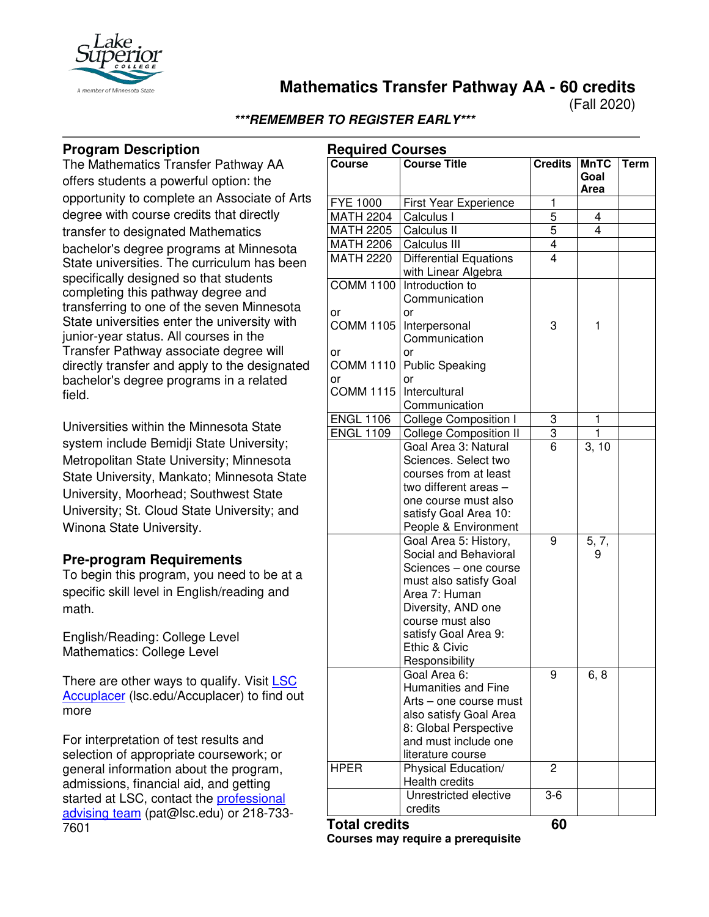

**Mathematics Transfer Pathway AA - 60 credits**

(Fall 2020)

# **\*\*\*REMEMBER TO REGISTER EARLY\*\*\***

# **Program Description**

The Mathematics Transfer Pathway AA offers students a powerful option: the opportunity to complete an Associate of Arts degree with course credits that directly transfer to designated Mathematics bachelor's degree programs at Minnesota State universities. The curriculum has been specifically designed so that students completing this pathway degree and transferring to one of the seven Minnesota State universities enter the university with junior-year status. All courses in the Transfer Pathway associate degree will directly transfer and apply to the designated bachelor's degree programs in a related field.

Universities within the Minnesota State system include Bemidji State University; Metropolitan State University; Minnesota State University, Mankato; Minnesota State University, Moorhead; Southwest State University; St. Cloud State University; and Winona State University.

### **Pre-program Requirements**

To begin this program, you need to be at a specific skill level in English/reading and math.

English/Reading: College Level Mathematics: College Level

There are other ways to qualify. Visit LSC [Accuplacer](https://www.lsc.edu/accuplacer/) (lsc.edu/Accuplacer) to find out more

For interpretation of test results and selection of appropriate coursework; or general information about the program, admissions, financial aid, and getting started at LSC, contact the [professional](mailto:pat@lsc.edu)  [advising team](mailto:pat@lsc.edu) (pat@lsc.edu) or 218-733- 7601

|                        | <b>Required Courses</b>                                                                                                                                                                                                 |                |                             |             |  |
|------------------------|-------------------------------------------------------------------------------------------------------------------------------------------------------------------------------------------------------------------------|----------------|-----------------------------|-------------|--|
| <b>Course</b>          | <b>Course Title</b>                                                                                                                                                                                                     | <b>Credits</b> | <b>MnTC</b><br>Goal<br>Area | <b>Term</b> |  |
| <b>FYE 1000</b>        | First Year Experience                                                                                                                                                                                                   | 1              |                             |             |  |
| <b>MATH 2204</b>       | Calculus I                                                                                                                                                                                                              | 5              | 4                           |             |  |
| <b>MATH 2205</b>       | Calculus II                                                                                                                                                                                                             | 5              | 4                           |             |  |
| <b>MATH 2206</b>       | Calculus III                                                                                                                                                                                                            |                |                             |             |  |
| <b>MATH 2220</b>       | <b>Differential Equations</b><br>with Linear Algebra                                                                                                                                                                    | $\frac{4}{4}$  |                             |             |  |
| <b>COMM 1100</b>       | Introduction to<br>Communication<br>or                                                                                                                                                                                  |                |                             |             |  |
| or<br><b>COMM 1105</b> | Interpersonal<br>Communication                                                                                                                                                                                          | 3              | 1                           |             |  |
| or                     | or                                                                                                                                                                                                                      |                |                             |             |  |
| <b>COMM 1110</b>       | <b>Public Speaking</b>                                                                                                                                                                                                  |                |                             |             |  |
| or                     | or                                                                                                                                                                                                                      |                |                             |             |  |
| <b>COMM 1115</b>       | Intercultural<br>Communication                                                                                                                                                                                          |                |                             |             |  |
| <b>ENGL 1106</b>       | <b>College Composition I</b>                                                                                                                                                                                            | 3              | 1                           |             |  |
| <b>ENGL 1109</b>       | <b>College Composition II</b>                                                                                                                                                                                           | 3              | $\mathbf{1}$                |             |  |
|                        | Goal Area 3: Natural<br>Sciences. Select two<br>courses from at least<br>two different areas -<br>one course must also<br>satisfy Goal Area 10:<br>People & Environment                                                 | 6              | $\overline{3}$ , 10         |             |  |
|                        | Goal Area 5: History,<br>Social and Behavioral<br>Sciences - one course<br>must also satisfy Goal<br>Area 7: Human<br>Diversity, AND one<br>course must also<br>satisfy Goal Area 9:<br>Ethic & Civic<br>Responsibility | 9              | 5, 7,<br>9                  |             |  |
|                        | Goal Area 6:<br><b>Humanities and Fine</b><br>Arts - one course must<br>also satisfy Goal Area<br>8: Global Perspective<br>and must include one<br>literature course                                                    | 9              | 6, 8                        |             |  |
| <b>HPER</b>            | Physical Education/<br><b>Health credits</b>                                                                                                                                                                            | 2              |                             |             |  |
|                        | Unrestricted elective<br>credits                                                                                                                                                                                        | $3-6$          |                             |             |  |
| <b>Total credits</b>   |                                                                                                                                                                                                                         | 60             |                             |             |  |

**Courses may require a prerequisite**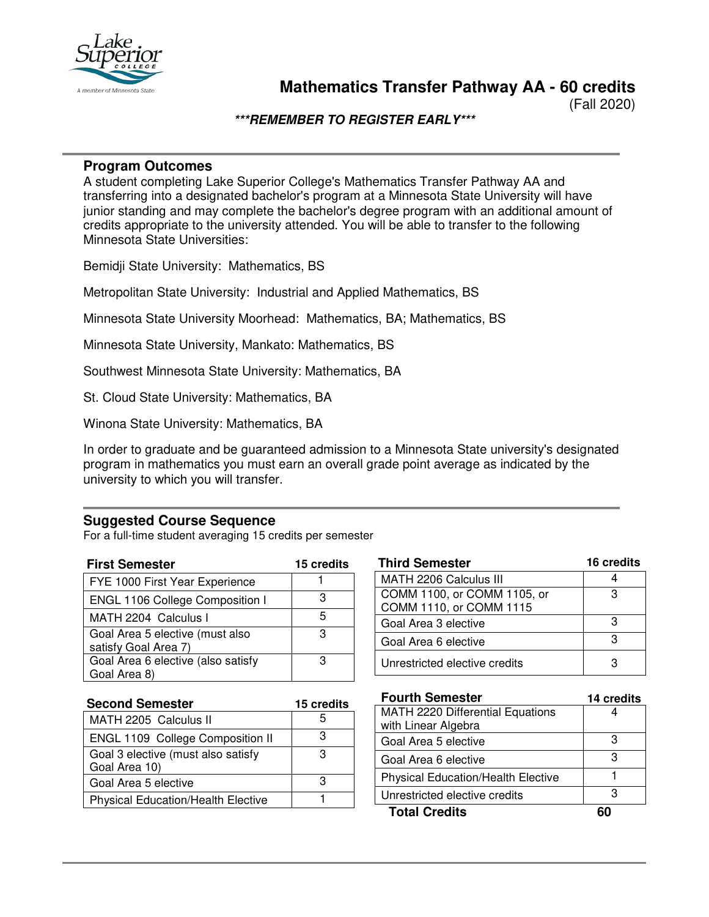

(Fall 2020)

### **\*\*\*REMEMBER TO REGISTER EARLY\*\*\***

#### **Program Outcomes**

A student completing Lake Superior College's Mathematics Transfer Pathway AA and transferring into a designated bachelor's program at a Minnesota State University will have junior standing and may complete the bachelor's degree program with an additional amount of credits appropriate to the university attended. You will be able to transfer to the following Minnesota State Universities:

Bemidji State University: Mathematics, BS

Metropolitan State University: Industrial and Applied Mathematics, BS

Minnesota State University Moorhead: Mathematics, BA; Mathematics, BS

Minnesota State University, Mankato: Mathematics, BS

Southwest Minnesota State University: Mathematics, BA

St. Cloud State University: Mathematics, BA

Winona State University: Mathematics, BA

In order to graduate and be guaranteed admission to a Minnesota State university's designated program in mathematics you must earn an overall grade point average as indicated by the university to which you will transfer.

#### **Suggested Course Sequence**

For a full-time student averaging 15 credits per semester

| <b>First Semester</b>                                   | 15 credits |
|---------------------------------------------------------|------------|
| FYE 1000 First Year Experience                          |            |
| ENGL 1106 College Composition I                         | з          |
| MATH 2204 Calculus I                                    | 5          |
| Goal Area 5 elective (must also<br>satisfy Goal Area 7) | з          |
| Goal Area 6 elective (also satisfy                      | з          |
| Goal Area 8)                                            |            |

| <b>Third Semester</b>         | 16 credits |
|-------------------------------|------------|
| MATH 2206 Calculus III        |            |
| COMM 1100, or COMM 1105, or   | з          |
| COMM 1110, or COMM 1115       |            |
| Goal Area 3 elective          | з          |
| Goal Area 6 elective          |            |
| Unrestricted elective credits |            |

| <b>Second Semester</b>                              | 15 credits |
|-----------------------------------------------------|------------|
| MATH 2205 Calculus II                               |            |
| ENGL 1109 College Composition II                    | З          |
| Goal 3 elective (must also satisfy<br>Goal Area 10) |            |
| Goal Area 5 elective                                |            |
| <b>Physical Education/Health Elective</b>           |            |

| <b>Fourth Semester</b>                    | 14 credits |
|-------------------------------------------|------------|
| MATH 2220 Differential Equations          |            |
| with Linear Algebra                       |            |
| Goal Area 5 elective                      | З          |
| Goal Area 6 elective                      | З          |
| <b>Physical Education/Health Elective</b> |            |
| Unrestricted elective credits             | з          |
| <b>Total Credits</b>                      |            |